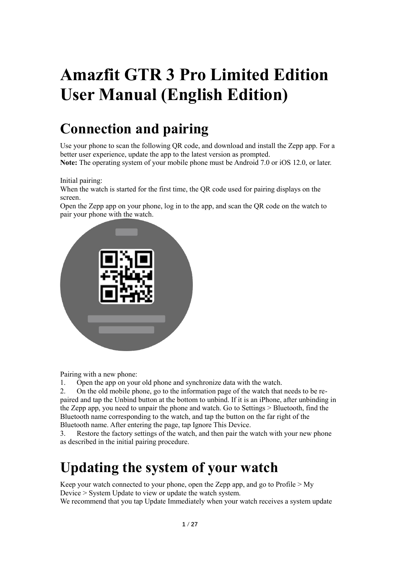# **Amazfit GTR 3 Pro Limited Edition User Manual (English Edition)**

## **Connection and pairing**

Use your phone to scan the following QR code, and download and install the Zepp app. For a better user experience, update the app to the latest version as prompted. **Note:** The operating system of your mobile phone must be Android 7.0 or iOS 12.0, or later.

Initial pairing: When the watch is started for the first time, the QR code used for pairing displays on the screen.

Open the Zepp app on your phone, log in to the app, and scan the QR code on the watch to pair your phone with the watch.



Pairing with a new phone:

1. Open the app on your old phone and synchronize data with the watch.

2. On the old mobile phone, go to the information page of the watch that needs to be repaired and tap the Unbind button at the bottom to unbind. If it is an iPhone, after unbinding in the Zepp app, you need to unpair the phone and watch. Go to Settings > Bluetooth, find the Bluetooth name corresponding to the watch, and tap the button on the far right of the Bluetooth name. After entering the page, tap Ignore This Device.

3. Restore the factory settings of the watch, and then pair the watch with your new phone as described in the initial pairing procedure.

## **Updating the system of your watch**

Keep your watch connected to your phone, open the Zepp app, and go to Profile > My Device > System Update to view or update the watch system. We recommend that you tap Update Immediately when your watch receives a system update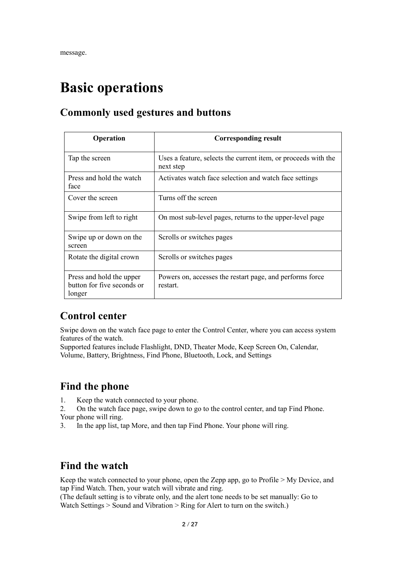## **Basic operations**

### **Commonly used gestures and buttons**

| <b>Operation</b>                                                 | <b>Corresponding result</b>                                                 |
|------------------------------------------------------------------|-----------------------------------------------------------------------------|
| Tap the screen                                                   | Uses a feature, selects the current item, or proceeds with the<br>next step |
| Press and hold the watch<br>face                                 | Activates watch face selection and watch face settings                      |
| Cover the screen                                                 | Turns off the screen                                                        |
| Swipe from left to right                                         | On most sub-level pages, returns to the upper-level page                    |
| Swipe up or down on the<br>screen                                | Scrolls or switches pages                                                   |
| Rotate the digital crown                                         | Scrolls or switches pages                                                   |
| Press and hold the upper<br>button for five seconds or<br>longer | Powers on, accesses the restart page, and performs force<br>restart.        |

### **Control center**

Swipe down on the watch face page to enter the Control Center, where you can access system features of the watch.

Supported features include Flashlight, DND, Theater Mode, Keep Screen On, Calendar, Volume, Battery, Brightness, Find Phone, Bluetooth, Lock, and Settings

### **Find the phone**

1. Keep the watch connected to your phone.

2. On the watch face page, swipe down to go to the control center, and tap Find Phone. Your phone will ring.

3. In the app list, tap More, and then tap Find Phone. Your phone will ring.

### **Find the watch**

Keep the watch connected to your phone, open the Zepp app, go to Profile > My Device, and tap Find Watch. Then, your watch will vibrate and ring.

(The default setting is to vibrate only, and the alert tone needs to be set manually: Go to Watch Settings > Sound and Vibration > Ring for Alert to turn on the switch.)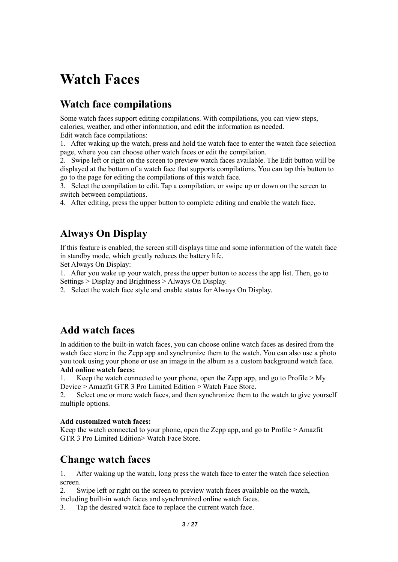## **Watch Faces**

### **Watch face compilations**

Some watch faces support editing compilations. With compilations, you can view steps, calories, weather, and other information, and edit the information as needed. Edit watch face compilations:

1. After waking up the watch, press and hold the watch face to enter the watch face selection page, where you can choose other watch faces or edit the compilation.

2. Swipe left or right on the screen to preview watch faces available. The Edit button will be displayed at the bottom of a watch face that supports compilations. You can tap this button to go to the page for editing the compilations of this watch face.

3. Select the compilation to edit. Tap a compilation, or swipe up or down on the screen to switch between compilations.

4. After editing, press the upper button to complete editing and enable the watch face.

### **Always On Display**

If this feature is enabled, the screen still displays time and some information of the watch face in standby mode, which greatly reduces the battery life.

Set Always On Display:

1. After you wake up your watch, press the upper button to access the app list. Then, go to Settings > Display and Brightness > Always On Display.

2. Select the watch face style and enable status for Always On Display.

### **Add watch faces**

In addition to the built-in watch faces, you can choose online watch faces as desired from the watch face store in the Zepp app and synchronize them to the watch. You can also use a photo you took using your phone or use an image in the album as a custom background watch face. **Add online watch faces:**

1. Keep the watch connected to your phone, open the Zepp app, and go to Profile  $>$  My Device > Amazfit GTR 3 Pro Limited Edition > Watch Face Store.

2. Select one or more watch faces, and then synchronize them to the watch to give yourself multiple options.

#### **Add customized watch faces:**

Keep the watch connected to your phone, open the Zepp app, and go to Profile > Amazfit GTR 3 Pro Limited Edition> Watch Face Store.

### **Change watch faces**

1. After waking up the watch, long press the watch face to enter the watch face selection screen.

2. Swipe left or right on the screen to preview watch faces available on the watch, including built-in watch faces and synchronized online watch faces.

3. Tap the desired watch face to replace the current watch face.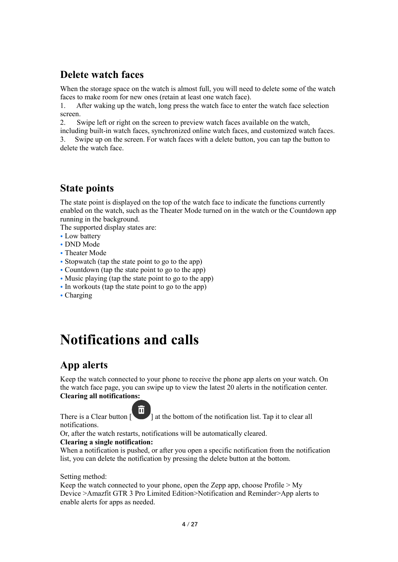### **Delete watch faces**

When the storage space on the watch is almost full, you will need to delete some of the watch faces to make room for new ones (retain at least one watch face).<br>1. After waking up the watch, long press the watch face to enter-

After waking up the watch, long press the watch face to enter the watch face selection screen.

2. Swipe left or right on the screen to preview watch faces available on the watch,

including built-in watch faces, synchronized online watch faces, and customized watch faces. 3. Swipe up on the screen. For watch faces with a delete button, you can tap the button to delete the watch face.

### **State points**

The state point is displayed on the top of the watch face to indicate the functions currently enabled on the watch, such as the Theater Mode turned on in the watch or the Countdown app running in the background.

The supported display states are:

- Low battery
- DND Mode
- Theater Mode
- Stopwatch (tap the state point to go to the app)
- Countdown (tap the state point to go to the app)
- Music playing (tap the state point to go to the app)
- In workouts (tap the state point to go to the app)
- Charging

## **Notifications and calls**

### **App alerts**

Keep the watch connected to your phone to receive the phone app alerts on your watch. On the watch face page, you can swipe up to view the latest 20 alerts in the notification center. **Clearing all notifications:**

There is a Clear button  $\begin{bmatrix} 0 \\ 1 \end{bmatrix}$  at the bottom of the notification list. Tap it to clear all notifications.

Or, after the watch restarts, notifications will be automatically cleared.

#### **Clearing a single notification:**

When a notification is pushed, or after you open a specific notification from the notification list, you can delete the notification by pressing the delete button at the bottom.

#### Setting method:

Keep the watch connected to your phone, open the Zepp app, choose Profile  $>$  My Device >Amazfit GTR 3 Pro Limited Edition>Notification and Reminder>App alerts to enable alerts for apps as needed.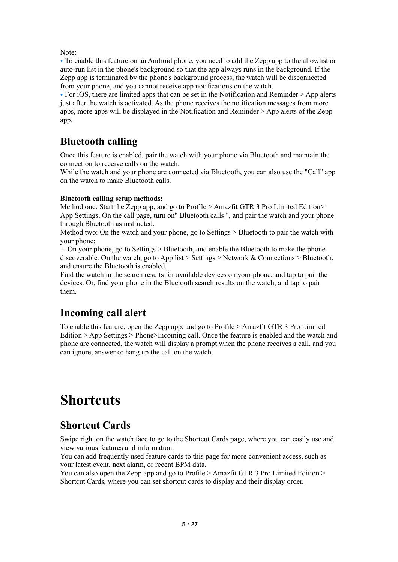Note:

• To enable this feature on an Android phone, you need to add the Zepp app to the allowlist or auto-run list in the phone's background so that the app always runs in the background. If the Zepp app is terminated by the phone's background process, the watch will be disconnected from your phone, and you cannot receive app notifications on the watch.

• For iOS, there are limited apps that can be set in the Notification and Reminder > App alerts just after the watch is activated. As the phone receives the notification messages from more apps, more apps will be displayed in the Notification and Reminder > App alerts of the Zepp app.

### **Bluetooth calling**

Once this feature is enabled, pair the watch with your phone via Bluetooth and maintain the connection to receive calls on the watch.

While the watch and your phone are connected via Bluetooth, you can also use the "Call" app on the watch to make Bluetooth calls.

#### **Bluetooth calling setup methods:**

Method one: Start the Zepp app, and go to Profile > Amazfit GTR 3 Pro Limited Edition > App Settings. On the call page, turn on" Bluetooth calls ", and pair the watch and your phone through Bluetooth as instructed.

Method two: On the watch and your phone, go to Settings > Bluetooth to pair the watch with your phone:

1. On your phone, go to Settings > Bluetooth, and enable the Bluetooth to make the phone discoverable. On the watch, go to App list > Settings > Network & Connections > Bluetooth, and ensure the Bluetooth is enabled.

Find the watch in the search results for available devices on your phone, and tap to pair the devices. Or, find your phone in the Bluetooth search results on the watch, and tap to pair them.

### **Incoming call alert**

To enable this feature, open the Zepp app, and go to Profile > Amazfit GTR 3 Pro Limited Edition > App Settings > Phone>Incoming call. Once the feature is enabled and the watch and phone are connected, the watch will display a prompt when the phone receives a call, and you can ignore, answer or hang up the call on the watch.

## **Shortcuts**

### **Shortcut Cards**

Swipe right on the watch face to go to the Shortcut Cards page, where you can easily use and view various features and information:

You can add frequently used feature cards to this page for more convenient access, such as your latest event, next alarm, or recent BPM data.

You can also open the Zepp app and go to Profile > Amazfit GTR 3 Pro Limited Edition > Shortcut Cards, where you can set shortcut cards to display and their display order.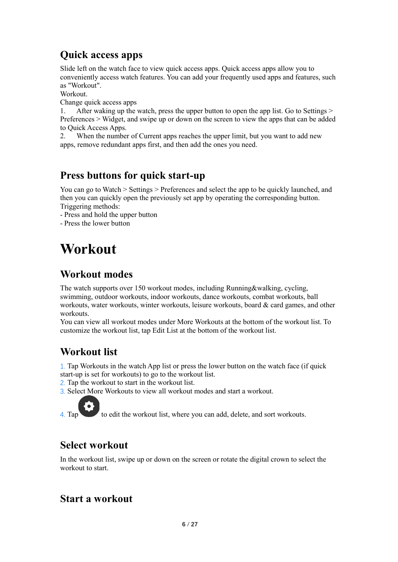### **Quick access apps**

Slide left on the watch face to view quick access apps. Quick access apps allow you to conveniently access watch features. You can add your frequently used apps and features, such as "Workout".

Workout.

Change quick access apps

1. After waking up the watch, press the upper button to open the app list. Go to Settings > Preferences > Widget, and swipe up or down on the screen to view the apps that can be added to Quick Access Apps.

2. When the number of Current apps reaches the upper limit, but you want to add new apps, remove redundant apps first, and then add the ones you need.

### **Press buttons for quick start-up**

You can go to Watch > Settings > Preferences and select the app to be quickly launched, and then you can quickly open the previously set app by operating the corresponding button. Triggering methods:

- Press and hold the upper button

- Press the lower button

## **Workout**

### **Workout modes**

The watch supports over 150 workout modes, including Running&walking, cycling, swimming, outdoor workouts, indoor workouts, dance workouts, combat workouts, ball workouts, water workouts, winter workouts, leisure workouts, board & card games, and other workouts.

You can view all workout modes under More Workouts at the bottom of the workout list. To customize the workout list, tap Edit List at the bottom of the workout list.

### **Workout list**

1. Tap Workouts in the watch App list or press the lower button on the watch face (if quick start-up is set for workouts) to go to the workout list.

- 2. Tap the workout to start in the workout list.
- 3. Select More Workouts to view all workout modes and start a workout.

4. Tap to edit the workout list, where you can add, delete, and sort workouts.

### **Select workout**

In the workout list, swipe up or down on the screen or rotate the digital crown to select the workout to start.

### **Start a workout**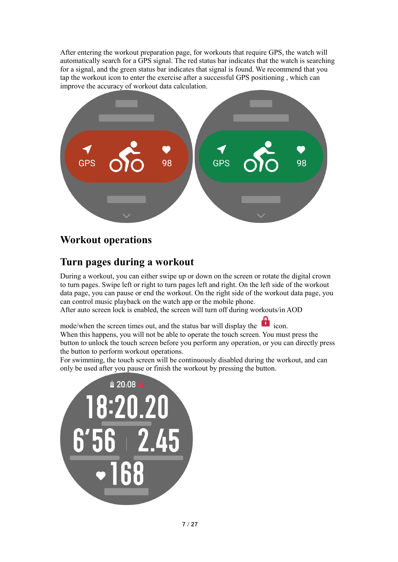After entering the workout preparation page, for workouts that require GPS, the watch will automatically search for a GPS signal. The red status bar indicates that the watch is searching for a signal, and the green status bar indicates that signal is found. We recommend that you tap the workout icon to enter the exercise after a successful GPS positioning , which can improve the accuracy of workout data calculation.



### **Workout operations**

### **Turn pages during a workout**

During a workout, you can either swipe up or down on the screen or rotate the digital crown to turn pages. Swipe left or right to turn pages left and right. On the left side of the workout data page, you can pause or end the workout. On the right side of the workout data page, you can control music playback on the watch app or the mobile phone.

After auto screen lock is enabled, the screen will turn off during workouts/in AOD

mode/when the screen times out, and the status bar will display the icon. When this happens, you will not be able to operate the touch screen. You must press the button to unlock the touch screen before you perform any operation, or you can directly press the button to perform workout operations.

For swimming, the touch screen will be continuously disabled during the workout, and can only be used after you pause or finish the workout by pressing the button.

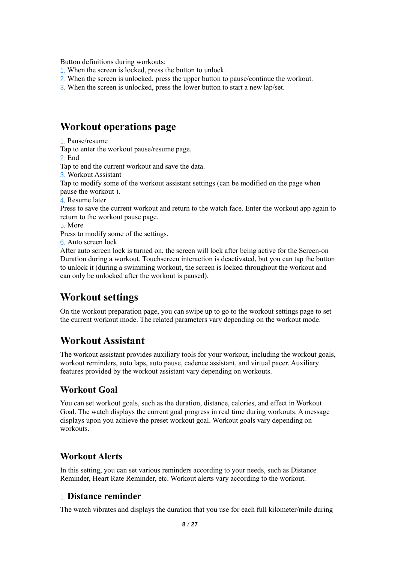Button definitions during workouts:

- 1. When the screen is locked, press the button to unlock.
- 2. When the screen is unlocked, press the upper button to pause/continue the workout.
- 3. When the screen is unlocked, press the lower button to start a new lap/set.

### **Workout operations page**

1. Pause/resume Tap to enter the workout pause/resume page. 2. End Tap to end the current workout and save the data. 3. Workout Assistant Tap to modify some of the workout assistant settings (can be modified on the page when pause the workout ). 4. Resume later Press to save the current workout and return to the watch face. Enter the workout app again to return to the workout pause page. 5. More Press to modify some of the settings. 6. Auto screen lock After auto screen lock is turned on, the screen will lock after being active for the Screen-on

Duration during a workout. Touchscreen interaction is deactivated, but you can tap the button to unlock it (during a swimming workout, the screen is locked throughout the workout and can only be unlocked after the workout is paused).

### **Workout settings**

On the workout preparation page, you can swipe up to go to the workout settings page to set the current workout mode. The related parameters vary depending on the workout mode.

### **Workout Assistant**

The workout assistant provides auxiliary tools for your workout, including the workout goals, workout reminders, auto laps, auto pause, cadence assistant, and virtual pacer. Auxiliary features provided by the workout assistant vary depending on workouts.

### **Workout Goal**

You can set workout goals, such as the duration, distance, calories, and effect in Workout Goal. The watch displays the current goal progress in real time during workouts. A message displays upon you achieve the preset workout goal. Workout goals vary depending on workouts.

### **Workout Alerts**

In this setting, you can set various reminders according to your needs, such as Distance Reminder, Heart Rate Reminder, etc. Workout alerts vary according to the workout.

#### 1. **Distance reminder**

The watch vibrates and displays the duration that you use for each full kilometer/mile during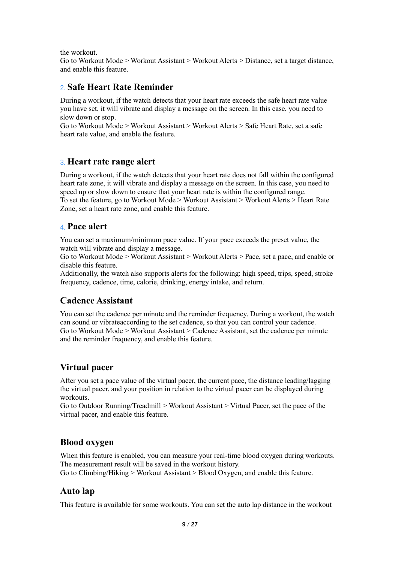the workout.

Go to Workout Mode > Workout Assistant > Workout Alerts > Distance, set a target distance, and enable this feature.

#### 2. **Safe Heart Rate Reminder**

During a workout, if the watch detects that your heart rate exceeds the safe heart rate value you have set, it will vibrate and display a message on the screen. In this case, you need to slow down or stop.

Go to Workout Mode > Workout Assistant > Workout Alerts > Safe Heart Rate, set a safe heart rate value, and enable the feature.

#### 3. **Heart rate range alert**

During a workout, if the watch detects that your heart rate does not fall within the configured heart rate zone, it will vibrate and display a message on the screen. In this case, you need to speed up or slow down to ensure that your heart rate is within the configured range. To set the feature, go to Workout Mode > Workout Assistant > Workout Alerts > Heart Rate Zone, set a heart rate zone, and enable this feature.

#### 4. **Pace alert**

You can set a maximum/minimum pace value. If your pace exceeds the preset value, the watch will vibrate and display a message.

Go to Workout Mode > Workout Assistant > Workout Alerts > Pace, set a pace, and enable or disable this feature.

Additionally, the watch also supports alerts for the following: high speed, trips, speed, stroke frequency, cadence, time, calorie, drinking, energy intake, and return.

### **Cadence Assistant**

You can set the cadence per minute and the reminder frequency. During a workout, the watch can sound or vibrateaccording to the set cadence, so that you can control your cadence. Go to Workout Mode > Workout Assistant > Cadence Assistant, set the cadence per minute and the reminder frequency, and enable this feature.

### **Virtual pacer**

After you set a pace value of the virtual pacer, the current pace, the distance leading/lagging the virtual pacer, and your position in relation to the virtual pacer can be displayed during workouts.

Go to Outdoor Running/Treadmill > Workout Assistant > Virtual Pacer, set the pace of the virtual pacer, and enable this feature.

### **Blood oxygen**

When this feature is enabled, you can measure your real-time blood oxygen during workouts. The measurement result will be saved in the workout history. Go to Climbing/Hiking > Workout Assistant > Blood Oxygen, and enable this feature.

### **Auto lap**

This feature is available for some workouts. You can set the auto lap distance in the workout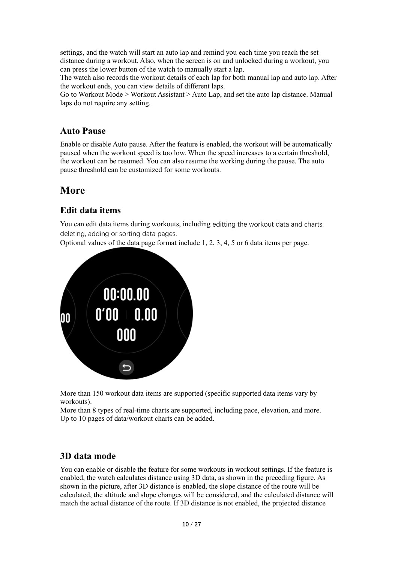settings, and the watch will start an auto lap and remind you each time you reach the set distance during a workout. Also, when the screen is on and unlocked during a workout, you can press the lower button of the watch to manually start a lap.

The watch also records the workout details of each lap for both manual lap and auto lap. After the workout ends, you can view details of different laps.

Go to Workout Mode > Workout Assistant > Auto Lap, and set the auto lap distance. Manual laps do not require any setting.

#### **Auto Pause**

Enable or disable Auto pause. After the feature is enabled, the workout will be automatically paused when the workout speed is too low. When the speed increases to a certain threshold, the workout can be resumed. You can also resume the working during the pause. The auto pause threshold can be customized for some workouts.

### **More**

### **Edit data items**

You can edit data items during workouts, including editting the workout data and charts, deleting, adding or sorting data pages.

Optional values of the data page format include 1, 2, 3, 4, 5 or 6 data items per page.



More than 150 workout data items are supported (specific supported data items vary by workouts).

More than 8 types of real-time charts are supported, including pace, elevation, and more. Up to 10 pages of data/workout charts can be added.

### **3D data mode**

You can enable or disable the feature for some workouts in workout settings. If the feature is enabled, the watch calculates distance using 3D data, as shown in the preceding figure. As shown in the picture, after 3D distance is enabled, the slope distance of the route will be calculated, the altitude and slope changes will be considered, and the calculated distance will match the actual distance of the route. If 3D distance is not enabled, the projected distance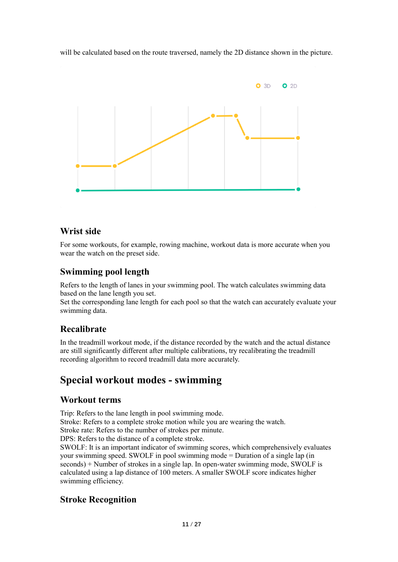will be calculated based on the route traversed, namely the 2D distance shown in the picture.



#### **Wrist side**

For some workouts, for example, rowing machine, workout data is more accurate when you wear the watch on the preset side.

#### **Swimming pool length**

Refers to the length of lanes in your swimming pool. The watch calculates swimming data based on the lane length you set.

Set the corresponding lane length for each pool so that the watch can accurately evaluate your swimming data.

#### **Recalibrate**

In the treadmill workout mode, if the distance recorded by the watch and the actual distance are still significantly different after multiple calibrations, try recalibrating the treadmill recording algorithm to record treadmill data more accurately.

### **Special workout modes - swimming**

#### **Workout terms**

Trip: Refers to the lane length in pool swimming mode. Stroke: Refers to a complete stroke motion while you are wearing the watch. Stroke rate: Refers to the number of strokes per minute. DPS: Refers to the distance of a complete stroke. SWOLF: It is an important indicator of swimming scores, which comprehensively evaluates your swimming speed. SWOLF in pool swimming mode = Duration of a single lap (in seconds) + Number of strokes in a single lap. In open-water swimming mode, SWOLF is calculated using a lap distance of 100 meters. A smaller SWOLF score indicates higher swimming efficiency.

### **Stroke Recognition**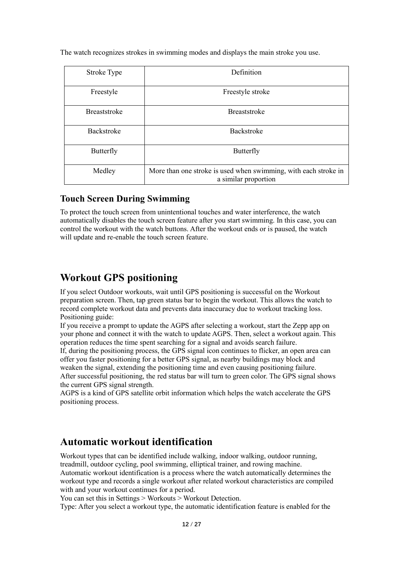The watch recognizes strokes in swimming modes and displays the main stroke you use.

| Stroke Type         | Definition                                                                              |
|---------------------|-----------------------------------------------------------------------------------------|
| Freestyle           | Freestyle stroke                                                                        |
| <b>Breaststroke</b> | <b>Breaststroke</b>                                                                     |
| Backstroke          | <b>Backstroke</b>                                                                       |
| Butterfly           | Butterfly                                                                               |
| Medley              | More than one stroke is used when swimming, with each stroke in<br>a similar proportion |

### **Touch Screen During Swimming**

To protect the touch screen from unintentional touches and water interference, the watch automatically disables the touch screen feature after you start swimming. In this case, you can control the workout with the watch buttons. After the workout ends or is paused, the watch will update and re-enable the touch screen feature.

### **Workout GPS positioning**

If you select Outdoor workouts, wait until GPS positioning is successful on the Workout preparation screen. Then, tap green status bar to begin the workout. This allows the watch to record complete workout data and prevents data inaccuracy due to workout tracking loss. Positioning guide:

If you receive a prompt to update the AGPS after selecting a workout, start the Zepp app on your phone and connect it with the watch to update AGPS. Then, select a workout again. This operation reduces the time spent searching for a signal and avoids search failure.

If, during the positioning process, the GPS signal icon continues to flicker, an open area can offer you faster positioning for a better GPS signal, as nearby buildings may block and weaken the signal, extending the positioning time and even causing positioning failure.

After successful positioning, the red status bar will turn to green color. The GPS signal shows the current GPS signal strength.

AGPS is a kind of GPS satellite orbit information which helps the watch accelerate the GPS positioning process.

### **Automatic workout identification**

Workout types that can be identified include walking, indoor walking, outdoor running, treadmill, outdoor cycling, pool swimming, elliptical trainer, and rowing machine. Automatic workout identification is a process where the watch automatically determines the workout type and records a single workout after related workout characteristics are compiled with and your workout continues for a period.

You can set this in Settings > Workouts > Workout Detection.

Type: After you select a workout type, the automatic identification feature is enabled for the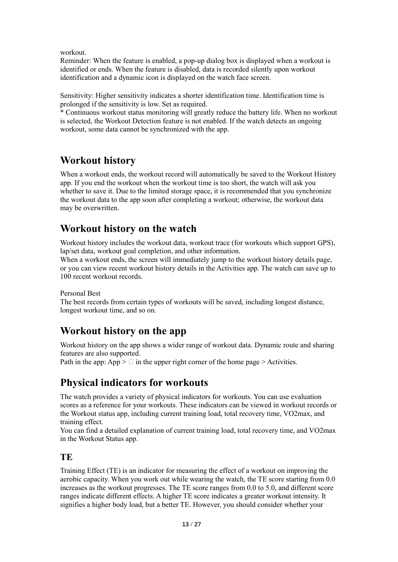workout.

Reminder: When the feature is enabled, a pop-up dialog box is displayed when a workout is identified or ends. When the feature is disabled, data is recorded silently upon workout identification and a dynamic icon is displayed on the watch face screen.

Sensitivity: Higher sensitivity indicates a shorter identification time. Identification time is prolonged if the sensitivity is low. Set as required.

\* Continuous workout status monitoring will greatly reduce the battery life. When no workout is selected, the Workout Detection feature is not enabled. If the watch detects an ongoing workout, some data cannot be synchronized with the app.

### **Workout history**

When a workout ends, the workout record will automatically be saved to the Workout History app. If you end the workout when the workout time is too short, the watch will ask you whether to save it. Due to the limited storage space, it is recommended that you synchronize the workout data to the app soon after completing a workout; otherwise, the workout data may be overwritten.

### **Workout history on the watch**

Workout history includes the workout data, workout trace (for workouts which support GPS), lap/set data, workout goal completion, and other information.

When a workout ends, the screen will immediately jump to the workout history details page, or you can view recent workout history details in the Activities app. The watch can save up to 100 recent workout records.

#### Personal Best

The best records from certain types of workouts will be saved, including longest distance, longest workout time, and so on.

### **Workout history on the app**

Workout history on the app shows a wider range of workout data. Dynamic route and sharing features are also supported.

Path in the app: App  $> \Box$  in the upper right corner of the home page  $>$  Activities.

### **Physical indicators for workouts**

The watch provides a variety of physical indicators for workouts. You can use evaluation scores as a reference for your workouts. These indicators can be viewed in workout records or the Workout status app, including current training load, total recovery time, VO2max, and training effect.

You can find a detailed explanation of current training load, total recovery time, and VO2max in the Workout Status app.

### **TE**

Training Effect (TE) is an indicator for measuring the effect of a workout on improving the aerobic capacity. When you work out while wearing the watch, the TE score starting from 0.0 increases as the workout progresses. The TE score ranges from 0.0 to 5.0, and different score ranges indicate different effects. A higher TE score indicates a greater workout intensity. It signifies a higher body load, but a better TE. However, you should consider whether your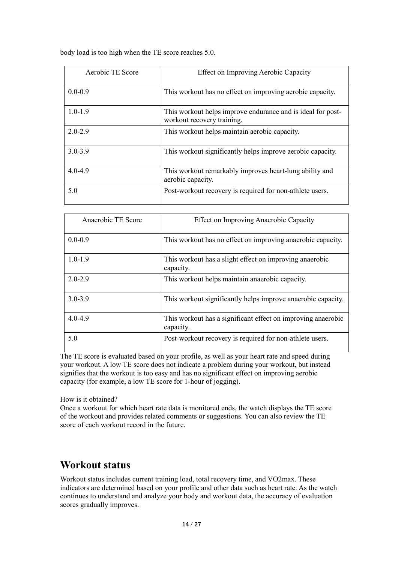body load is too high when the TE score reaches 5.0.

| Aerobic TE Score | Effect on Improving Aerobic Capacity                                                      |
|------------------|-------------------------------------------------------------------------------------------|
| $0.0 - 0.9$      | This workout has no effect on improving aerobic capacity.                                 |
| $1.0 - 1.9$      | This workout helps improve endurance and is ideal for post-<br>workout recovery training. |
| $2.0 - 2.9$      | This workout helps maintain aerobic capacity.                                             |
| $3.0 - 3.9$      | This workout significantly helps improve aerobic capacity.                                |
| $4.0 - 4.9$      | This workout remarkably improves heart-lung ability and<br>aerobic capacity.              |
| 5.0              | Post-workout recovery is required for non-athlete users.                                  |

| Anaerobic TE Score | Effect on Improving Anaerobic Capacity                                    |
|--------------------|---------------------------------------------------------------------------|
| $0.0 - 0.9$        | This workout has no effect on improving anaerobic capacity.               |
| $1.0 - 1.9$        | This workout has a slight effect on improving anaerobic<br>capacity.      |
| $2.0 - 2.9$        | This workout helps maintain anaerobic capacity.                           |
| $3.0 - 3.9$        | This workout significantly helps improve anaerobic capacity.              |
| $4.0 - 4.9$        | This workout has a significant effect on improving anaerobic<br>capacity. |
| 5.0                | Post-workout recovery is required for non-athlete users.                  |

The TE score is evaluated based on your profile, as well as your heart rate and speed during your workout. A low TE score does not indicate a problem during your workout, but instead signifies that the workout is too easy and has no significant effect on improving aerobic capacity (for example, a low TE score for 1-hour of jogging).

How is it obtained?

Once a workout for which heart rate data is monitored ends, the watch displays the TE score of the workout and provides related comments or suggestions. You can also review the TE score of each workout record in the future.

### **Workout status**

Workout status includes current training load, total recovery time, and VO2max. These indicators are determined based on your profile and other data such as heart rate. As the watch continues to understand and analyze your body and workout data, the accuracy of evaluation scores gradually improves.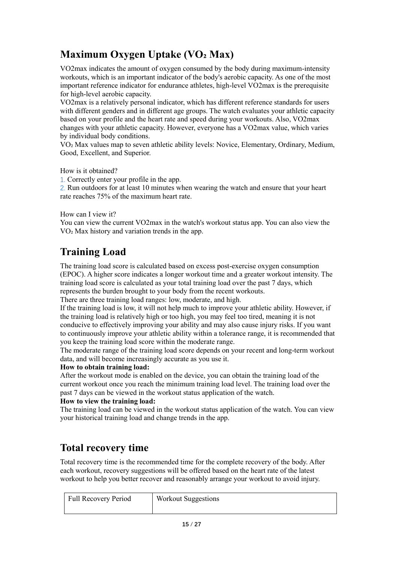### **Maximum Oxygen Uptake (VO₂ Max)**

VO2max indicates the amount of oxygen consumed by the body during maximum-intensity workouts, which is an important indicator of the body's aerobic capacity. As one of the most important reference indicator for endurance athletes, high-level VO2max is the prerequisite for high-level aerobic capacity.

VO2max is a relatively personal indicator, which has different reference standards for users with different genders and in different age groups. The watch evaluates your athletic capacity based on your profile and the heart rate and speed during your workouts. Also, VO2max changes with your athletic capacity. However, everyone has a VO2max value, which varies by individual body conditions.

VO₂ Max values map to seven athletic ability levels: Novice, Elementary, Ordinary, Medium, Good, Excellent, and Superior.

How is it obtained?

1. Correctly enter your profile in the app.

2. Run outdoors for at least 10 minutes when wearing the watch and ensure that your heart rate reaches 75% of the maximum heart rate.

#### How can I view it?

You can view the current VO2max in the watch's workout status app. You can also view the VO<sub>2</sub> Max history and variation trends in the app.

### **Training Load**

The training load score is calculated based on excess post-exercise oxygen consumption (EPOC). A higher score indicates a longer workout time and a greater workout intensity. The training load score is calculated as your total training load over the past 7 days, which represents the burden brought to your body from the recent workouts.

There are three training load ranges: low, moderate, and high.

If the training load is low, it will not help much to improve your athletic ability. However, if the training load is relatively high or too high, you may feel too tired, meaning it is not conducive to effectively improving your ability and may also cause injury risks. If you want to continuously improve your athletic ability within a tolerance range, it is recommended that you keep the training load score within the moderate range.

The moderate range of the training load score depends on your recent and long-term workout data, and will become increasingly accurate as you use it.

#### **How to obtain training load:**

After the workout mode is enabled on the device, you can obtain the training load of the current workout once you reach the minimum training load level. The training load over the past 7 days can be viewed in the workout status application of the watch.

#### **How to view the training load:**

The training load can be viewed in the workout status application of the watch. You can view your historical training load and change trends in the app.

### **Total recovery time**

Total recovery time is the recommended time for the complete recovery of the body. After each workout, recovery suggestions will be offered based on the heart rate of the latest workout to help you better recover and reasonably arrange your workout to avoid injury.

| Full Recovery Period | <b>Workout Suggestions</b> |
|----------------------|----------------------------|
|                      |                            |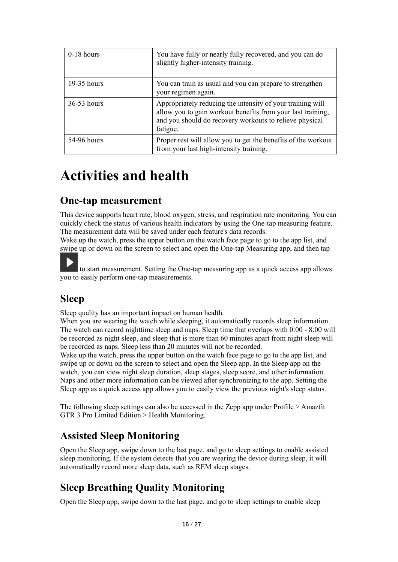| $0-18$ hours  | You have fully or nearly fully recovered, and you can do<br>slightly higher-intensity training.                                                                                                  |
|---------------|--------------------------------------------------------------------------------------------------------------------------------------------------------------------------------------------------|
| $19-35$ hours | You can train as usual and you can prepare to strengthen<br>your regimen again.                                                                                                                  |
| $36-53$ hours | Appropriately reducing the intensity of your training will<br>allow you to gain workout benefits from your last training,<br>and you should do recovery workouts to relieve physical<br>fatigue. |
| 54-96 hours   | Proper rest will allow you to get the benefits of the workout<br>from your last high-intensity training.                                                                                         |

## **Activities and health**

### **One-tap measurement**

This device supports heart rate, blood oxygen, stress, and respiration rate monitoring. You can quickly check the status of various health indicators by using the One-tap measuring feature. The measurement data will be saved under each feature's data records.

Wake up the watch, press the upper button on the watch face page to go to the app list, and swipe up or down on the screen to select and open the One-tap Measuring app, and then tap

to start measurement. Setting the One-tap measuring app as a [quick access app](https://huami.feishu.cn/docs/doccnQO9RgXVcI2g13hRElwDBCh?theme=light#icYTDc) allows you to easily perform one-tap measurements.

### **Sleep**

Sleep quality has an important impact on human health.

When you are wearing the watch while sleeping, it automatically records sleep information. The watch can record nighttime sleep and naps. Sleep time that overlaps with 0:00 - 8:00 will be recorded as night sleep, and sleep that is more than 60 minutes apart from night sleep will be recorded as naps. Sleep less than 20 minutes will not be recorded.

Wake up the watch, press the upper button on the watch face page to go to the app list, and swipe up or down on the screen to select and open the Sleep app. In the Sleep app on the watch, you can view night sleep duration, sleep stages, sleep score, and other information. Naps and other more information can be viewed after synchronizing to the app. Setting the Sleep app as a [quick access app](https://huami.feishu.cn/docs/doccnQO9RgXVcI2g13hRElwDBCh?theme=light#icYTDc) allows you to easily view the previous night's sleep status.

The following sleep settings can also be accessed in the Zepp app under Profile > Amazfit GTR 3 Pro Limited Edition > Health Monitoring.

### **Assisted Sleep Monitoring**

Open the Sleep app, swipe down to the last page, and go to sleep settings to enable assisted sleep monitoring. If the system detects that you are wearing the device during sleep, it will automatically record more sleep data, such as REM sleep stages.

### **Sleep Breathing Quality Monitoring**

Open the Sleep app, swipe down to the last page, and go to sleep settings to enable sleep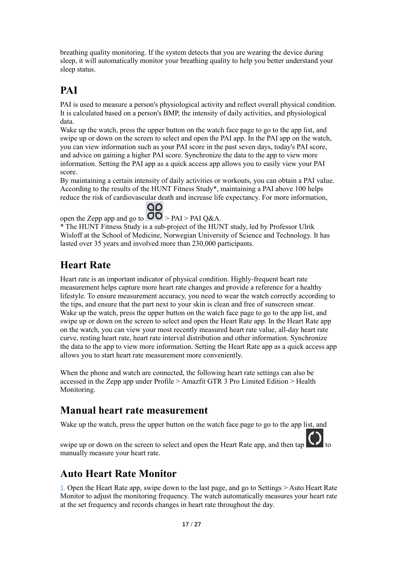breathing quality monitoring. If the system detects that you are wearing the device during sleep, it will automatically monitor your breathing quality to help you better understand your sleep status.

## **PAI**

PAI is used to measure a person's physiological activity and reflect overall physical condition. It is calculated based on a person's BMP, the intensity of daily activities, and physiological data.

Wake up the watch, press the upper button on the watch face page to go to the app list, and swipe up or down on the screen to select and open the PAI app. In the PAI app on the watch, you can view information such as your PAI score in the past seven days, today's PAI score, and advice on gaining a higher PAI score. Synchronize the data to the app to view more information. Setting the PAI app as a [quick access app](https://huami.feishu.cn/docs/doccnQO9RgXVcI2g13hRElwDBCh?theme=light#icYTDc) allows you to easily view your PAI score.

By maintaining a certain intensity of daily activities or workouts, you can obtain a PAI value. According to the results of the HUNT Fitness Study\*, maintaining a PAI above 100 helps reduce the risk of cardiovascular death and increase life expectancy. For more information,

open the Zepp app and go to  $\overline{OD}$  > PAI > PAI Q&A. \* The HUNT Fitness Study is a sub-project of the HUNT study, led by Professor Ulrik Wisloff at the School of Medicine, Norwegian University of Science and Technology. It has lasted over 35 years and involved more than 230,000 participants.

### **Heart Rate**

Heart rate is an important indicator of physical condition. Highly-frequent heart rate measurement helps capture more heart rate changes and provide a reference for a healthy lifestyle. To ensure measurement accuracy, you need to wear the watch correctly according to the tips, and ensure that the part next to your skin is clean and free of sunscreen smear. Wake up the watch, press the upper button on the watch face page to go to the app list, and swipe up or down on the screen to select and open the Heart Rate app. In the Heart Rate app on the watch, you can view your most recently measured heart rate value, all-day heart rate curve, resting heart rate, heart rate interval distribution and other information. Synchronize the data to the app to view more information. Setting the Heart Rate app as a [quick access app](https://huami.feishu.cn/docs/doccnQO9RgXVcI2g13hRElwDBCh?theme=light#icYTDc) allows you to start heart rate measurement more conveniently.

When the phone and watch are connected, the following heart rate settings can also be accessed in the Zepp app under Profile > Amazfit GTR 3 Pro Limited Edition > Health Monitoring.

### **Manual heart rate measurement**

Wake up the watch, press the upper button on the watch face page to go to the app list, and



swipe up or down on the screen to select and open the Heart Rate app, and then tap manually measure your heart rate.

### **Auto Heart Rate Monitor**

1. Open the Heart Rate app, swipe down to the last page, and go to Settings > Auto Heart Rate Monitor to adjust the monitoring frequency. The watch automatically measures your heart rate at the set frequency and records changes in heart rate throughout the day.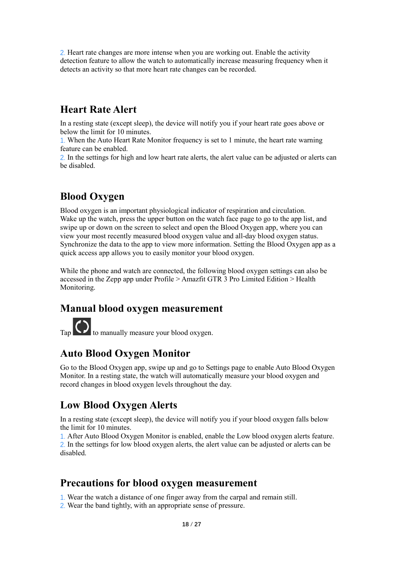2. Heart rate changes are more intense when you are working out. Enable the activity detection feature to allow the watch to automatically increase measuring frequency when it detects an activity so that more heart rate changes can be recorded.

### **Heart Rate Alert**

In a resting state (except sleep), the device will notify you if your heart rate goes above or below the limit for 10 minutes.

1. When the Auto Heart Rate Monitor frequency is set to 1 minute, the heart rate warning feature can be enabled.

2. In the settings for high and low heart rate alerts, the alert value can be adjusted or alerts can be disabled.

### **Blood Oxygen**

Blood oxygen is an important physiological indicator of respiration and circulation. Wake up the watch, press the upper button on the watch face page to go to the app list, and swipe up or down on the screen to select and open the Blood Oxygen app, where you can view your most recently measured blood oxygen value and all-day blood oxygen status. Synchronize the data to the app to view more information. Setting the Blood Oxygen app as a [quick access app](https://huami.feishu.cn/docs/doccnQO9RgXVcI2g13hRElwDBCh?theme=light#icYTDc) allows you to easily monitor your blood oxygen.

While the phone and watch are connected, the following blood oxygen settings can also be accessed in the Zepp app under Profile > Amazfit GTR 3 Pro Limited Edition > Health Monitoring.

### **Manual blood oxygen measurement**

 $Tap$  to manually measure your blood oxygen.

### **Auto Blood Oxygen Monitor**

Go to the Blood Oxygen app, swipe up and go to Settings page to enable Auto Blood Oxygen Monitor. In a resting state, the watch will automatically measure your blood oxygen and record changes in blood oxygen levels throughout the day.

### **Low Blood Oxygen Alerts**

In a resting state (except sleep), the device will notify you if your blood oxygen falls below the limit for 10 minutes.

1. After Auto Blood Oxygen Monitor is enabled, enable the Low blood oxygen alerts feature. 2. In the settings for low blood oxygen alerts, the alert value can be adjusted or alerts can be disabled.

### **Precautions for blood oxygen measurement**

1. Wear the watch a distance of one finger away from the carpal and remain still.

2. Wear the band tightly, with an appropriate sense of pressure.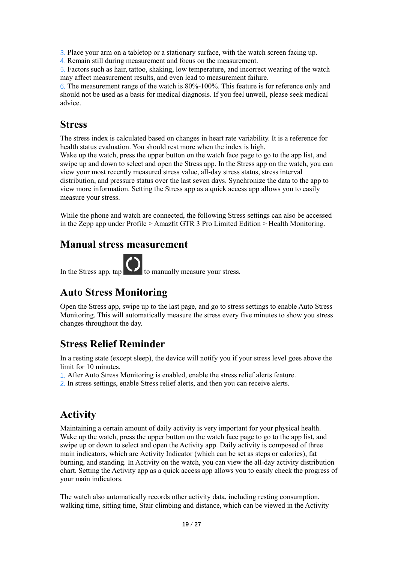3. Place your arm on a tabletop or a stationary surface, with the watch screen facing up.

4. Remain still during measurement and focus on the measurement.

5. Factors such as hair, tattoo, shaking, low temperature, and incorrect wearing of the watch may affect measurement results, and even lead to measurement failure.

6. The measurement range of the watch is 80%-100%. This feature is for reference only and should not be used as a basis for medical diagnosis. If you feel unwell, please seek medical advice.

### **Stress**

The stress index is calculated based on changes in heart rate variability. It is a reference for health status evaluation. You should rest more when the index is high.

Wake up the watch, press the upper button on the watch face page to go to the app list, and swipe up and down to select and open the Stress app. In the Stress app on the watch, you can view your most recently measured stress value, all-day stress status, stress interval distribution, and pressure status over the last seven days. Synchronize the data to the app to view more information. Setting the Stress app as a [quick access app](https://huami.feishu.cn/docs/doccnQO9RgXVcI2g13hRElwDBCh?theme=light#icYTDc) allows you to easily measure your stress.

While the phone and watch are connected, the following Stress settings can also be accessed in the Zepp app under Profile > Amazfit GTR 3 Pro Limited Edition > Health Monitoring.

### **Manual stress measurement**



In the Stress app,  $\tan \theta$  to manually measure your stress.

### **Auto Stress Monitoring**

Open the Stress app, swipe up to the last page, and go to stress settings to enable Auto Stress Monitoring. This will automatically measure the stress every five minutes to show you stress changes throughout the day.

### **Stress Relief Reminder**

In a resting state (except sleep), the device will notify you if your stress level goes above the limit for 10 minutes.

- 1. After Auto Stress Monitoring is enabled, enable the stress relief alerts feature.
- 2. In stress settings, enable Stress relief alerts, and then you can receive alerts.

### **Activity**

Maintaining a certain amount of daily activity is very important for your physical health. Wake up the watch, press the upper button on the watch face page to go to the app list, and swipe up or down to select and open the Activity app. Daily activity is composed of three main indicators, which are Activity Indicator (which can be set as steps or calories), fat burning, and standing. In Activity on the watch, you can view the all-day activity distribution chart. Setting the Activity app as a [quick access app](https://huami.feishu.cn/docs/doccnQO9RgXVcI2g13hRElwDBCh?theme=light#icYTDc) allows you to easily check the progress of your main indicators.

The watch also automatically records other activity data, including resting consumption, walking time, sitting time, Stair climbing and distance, which can be viewed in the Activity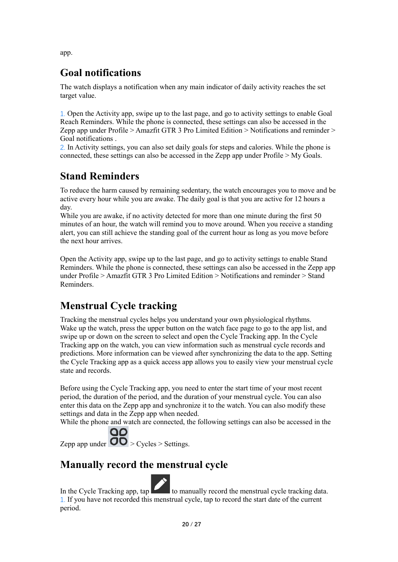app.

### **Goal notifications**

The watch displays a notification when any main indicator of daily activity reaches the set target value.

1. Open the Activity app, swipe up to the last page, and go to activity settings to enable Goal Reach Reminders. While the phone is connected, these settings can also be accessed in the Zepp app under Profile > Amazfit GTR 3 Pro Limited Edition > Notifications and reminder > Goal notifications .

2. In Activity settings, you can also set daily goals for steps and calories. While the phone is connected, these settings can also be accessed in the Zepp app under Profile > My Goals.

### **Stand Reminders**

To reduce the harm caused by remaining sedentary, the watch encourages you to move and be active every hour while you are awake. The daily goal is that you are active for 12 hours a day.

While you are awake, if no activity detected for more than one minute during the first 50 minutes of an hour, the watch will remind you to move around. When you receive a standing alert, you can still achieve the standing goal of the current hour as long as you move before the next hour arrives.

Open the Activity app, swipe up to the last page, and go to activity settings to enable Stand Reminders. While the phone is connected, these settings can also be accessed in the Zepp app under Profile > Amazfit GTR 3 Pro Limited Edition > Notifications and reminder > Stand Reminders.

### **Menstrual Cycle tracking**

Tracking the menstrual cycles helps you understand your own physiological rhythms. Wake up the watch, press the upper button on the watch face page to go to the app list, and swipe up or down on the screen to select and open the Cycle Tracking app. In the Cycle Tracking app on the watch, you can view information such as menstrual cycle records and predictions. More information can be viewed after synchronizing the data to the app. Setting the Cycle Tracking app as a [quick access app](https://huami.feishu.cn/docs/doccnQO9RgXVcI2g13hRElwDBCh?theme=light#icYTDc) allows you to easily view your menstrual cycle state and records.

Before using the Cycle Tracking app, you need to enter the start time of your most recent period, the duration of the period, and the duration of your menstrual cycle. You can also enter this data on the Zepp app and synchronize it to the watch. You can also modify these settings and data in the Zepp app when needed.

While the phone and watch are connected, the following settings can also be accessed in the

Zepp app under  $\overline{OD}$  > Cycles > Settings.

### **Manually record the menstrual cycle**

In the Cycle Tracking app,  $tan$  to manually record the menstrual cycle tracking data. 1. If you have not recorded this menstrual cycle, tap to record the start date of the current period.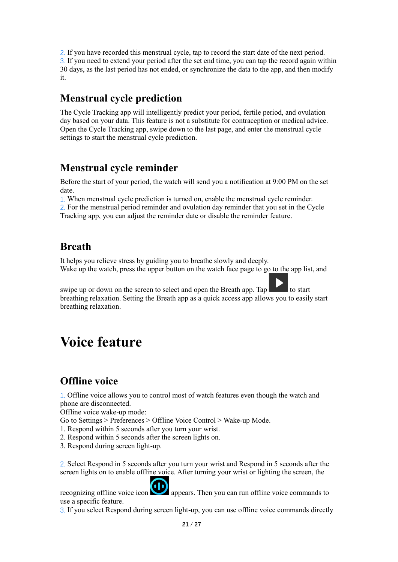2. If you have recorded this menstrual cycle, tap to record the start date of the next period. 3. If you need to extend your period after the set end time, you can tap the record again within 30 days, as the last period has not ended, or synchronize the data to the app, and then modify it.

### **Menstrual cycle prediction**

The Cycle Tracking app will intelligently predict your period, fertile period, and ovulation day based on your data. This feature is not a substitute for contraception or medical advice. Open the Cycle Tracking app, swipe down to the last page, and enter the menstrual cycle settings to start the menstrual cycle prediction.

### **Menstrual cycle reminder**

Before the start of your period, the watch will send you a notification at 9:00 PM on the set date.

1. When menstrual cycle prediction is turned on, enable the menstrual cycle reminder.

2. For the menstrual period reminder and ovulation day reminder that you set in the Cycle Tracking app, you can adjust the reminder date or disable the reminder feature.

### **Breath**

It helps you relieve stress by guiding you to breathe slowly and deeply. Wake up the watch, press the upper button on the watch face page to go to the app list, and

swipe up or down on the screen to select and open the Breath app. Tap to start breathing relaxation. Setting the Breath app as a [quick access app](https://huami.feishu.cn/docs/doccnQO9RgXVcI2g13hRElwDBCh?theme=light#icYTDc) allows you to easily start breathing relaxation.

## **Voice feature**

### **Offline voice**

1. Offline voice allows you to control most of watch features even though the watch and phone are disconnected.

Offline voice wake-up mode:

Go to Settings > Preferences > Offline Voice Control > Wake-up Mode.

1. Respond within 5 seconds after you turn your wrist.

- 2. Respond within 5 seconds after the screen lights on.
- 3. Respond during screen light-up.

2. Select Respond in 5 seconds after you turn your wrist and Respond in 5 seconds after the screen lights on to enable offline voice. After turning your wrist or lighting the screen, the

recognizing offline voice icon appears. Then you can run offline voice commands to use a specific feature.

3. If you select Respond during screen light-up, you can use offline voice commands directly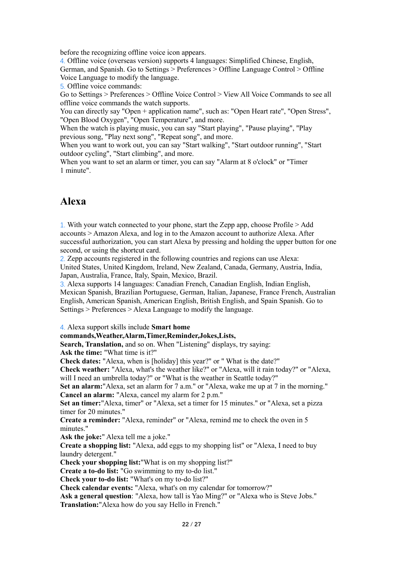before the recognizing offline voice icon appears.

4. Offline voice (overseas version) supports 4 languages: Simplified Chinese, English, German, and Spanish. Go to Settings > Preferences > Offline Language Control > Offline Voice Language to modify the language.

5. Offline voice commands:

Go to Settings > Preferences > Offline Voice Control > View All Voice Commands to see all offline voice commands the watch supports.

You can directly say "Open + application name", such as: "Open Heart rate", "Open Stress", "Open Blood Oxygen", "Open Temperature", and more.

When the watch is playing music, you can say "Start playing", "Pause playing", "Play previous song, "Play next song", "Repeat song", and more.

When you want to work out, you can say "Start walking", "Start outdoor running", "Start outdoor cycling", "Start climbing", and more.

When you want to set an alarm or timer, you can say "Alarm at 8 o'clock" or "Timer 1 minute".

### **Alexa**

1. With your watch connected to your phone, start the Zepp app, choose Profile > Add accounts > Amazon Alexa, and log in to the Amazon account to authorize Alexa. After successful authorization, you can start Alexa by pressing and holding the upper button for one second, or using the shortcut card.

2. Zepp accounts registered in the following countries and regions can use Alexa: United States, United Kingdom, Ireland, New Zealand, Canada, Germany, Austria, India, Japan, Australia, France, Italy, Spain, Mexico, Brazil.

3. Alexa supports 14 languages: Canadian French, Canadian English, Indian English, Mexican Spanish, Brazilian Portuguese, German, Italian, Japanese, France French, Australian English, American Spanish, American English, British English, and Spain Spanish. Go to Settings > Preferences > Alexa Language to modify the language.

4. Alexa support skills include **Smart home** 

#### **commands,Weather,Alarm,Timer,Reminder,Jokes,Lists,**

**Search, Translation,** and so on. When "Listening" displays, try saying:

**Ask the time:** "What time is it?"

**Check dates:** "Alexa, when is [holiday] this year?" or " What is the date?"

**Check weather:** "Alexa, what's the weather like?" or "Alexa, will it rain today?" or "Alexa, will I need an umbrella today?" or "What is the weather in Seattle today?"

**Set an alarm:**"Alexa, set an alarm for 7 a.m." or "Alexa, wake me up at 7 in the morning." **Cancel an alarm:** "Alexa, cancel my alarm for 2 p.m."

**Set an timer:**"Alexa, timer" or "Alexa, set a timer for 15 minutes." or "Alexa, set a pizza timer for 20 minutes."

**Create a reminder:** "Alexa, reminder" or "Alexa, remind me to check the oven in 5 minutes."

**Ask the joke:**" Alexa tell me a joke."

**Create a shopping list:** "Alexa, add eggs to my shopping list" or "Alexa, I need to buy laundry detergent."

**Check your shopping list:**"What is on my shopping list?"

**Create a to-do list:** "Go swimming to my to-do list."

**Check your to-do list:** "What's on my to-do list?"

**Check calendar events:** "Alexa, what's on my calendar for tomorrow?"

**Ask a general question**: "Alexa, how tall is Yao Ming?" or "Alexa who is Steve Jobs." **Translation:**"Alexa how do you say Hello in French."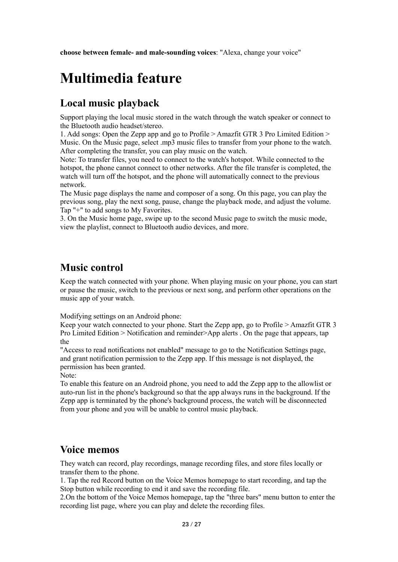**choose between female- and male-sounding voices**: "Alexa, change your voice"

## **Multimedia feature**

### **Local music playback**

Support playing the local music stored in the watch through the watch speaker or connect to the Bluetooth audio headset/stereo.

1. Add songs: Open the Zepp app and go to Profile > Amazfit GTR 3 Pro Limited Edition > Music. On the Music page, select .mp3 music files to transfer from your phone to the watch. After completing the transfer, you can play music on the watch.

Note: To transfer files, you need to connect to the watch's hotspot. While connected to the hotspot, the phone cannot connect to other networks. After the file transfer is completed, the watch will turn off the hotspot, and the phone will automatically connect to the previous network.

The Music page displays the name and composer of a song. On this page, you can play the previous song, play the next song, pause, change the playback mode, and adjust the volume. Tap "+" to add songs to My Favorites.

3. On the Music home page, swipe up to the second Music page to switch the music mode, view the playlist, connect to Bluetooth audio devices, and more.

### **Music control**

Keep the watch connected with your phone. When playing music on your phone, you can start or pause the music, switch to the previous or next song, and perform other operations on the music app of your watch.

Modifying settings on an Android phone:

Keep your watch connected to your phone. Start the Zepp app, go to Profile > Amazfit GTR 3 Pro Limited Edition > Notification and reminder>App alerts . On the page that appears, tap the

"Access to read notifications not enabled" message to go to the Notification Settings page, and grant notification permission to the Zepp app. If this message is not displayed, the permission has been granted.

Note:

To enable this feature on an Android phone, you need to add the Zepp app to the allowlist or auto-run list in the phone's background so that the app always runs in the background. If the Zepp app is terminated by the phone's background process, the watch will be disconnected from your phone and you will be unable to control music playback.

### **Voice memos**

They watch can record, play recordings, manage recording files, and store files locally or transfer them to the phone.

1. Tap the red Record button on the Voice Memos homepage to start recording, and tap the Stop button while recording to end it and save the recording file.

2.On the bottom of the Voice Memos homepage, tap the "three bars" menu button to enter the recording list page, where you can play and delete the recording files.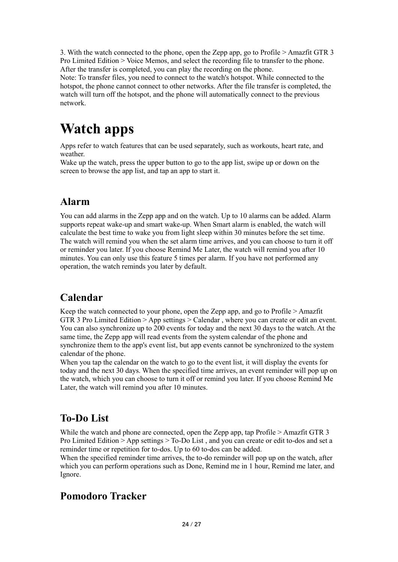3. With the watch connected to the phone, open the Zepp app, go to Profile > Amazfit GTR 3 Pro Limited Edition > Voice Memos, and select the recording file to transfer to the phone. After the transfer is completed, you can play the recording on the phone.

Note: To transfer files, you need to connect to the watch's hotspot. While connected to the hotspot, the phone cannot connect to other networks. After the file transfer is completed, the watch will turn off the hotspot, and the phone will automatically connect to the previous network.

## **Watch apps**

Apps refer to watch features that can be used separately, such as workouts, heart rate, and weather.

Wake up the watch, press the upper button to go to the app list, swipe up or down on the screen to browse the app list, and tap an app to start it.

### **Alarm**

You can add alarms in the Zepp app and on the watch. Up to 10 alarms can be added. Alarm supports repeat wake-up and smart wake-up. When Smart alarm is enabled, the watch will calculate the best time to wake you from light sleep within 30 minutes before the set time. The watch will remind you when the set alarm time arrives, and you can choose to turn it off or reminder you later. If you choose Remind Me Later, the watch will remind you after 10 minutes. You can only use this feature 5 times per alarm. If you have not performed any operation, the watch reminds you later by default.

### **Calendar**

Keep the watch connected to your phone, open the Zepp app, and go to Profile > Amazfit GTR 3 Pro Limited Edition > App settings > Calendar , where you can create or edit an event. You can also synchronize up to 200 events for today and the next 30 days to the watch. At the same time, the Zepp app will read events from the system calendar of the phone and synchronize them to the app's event list, but app events cannot be synchronized to the system calendar of the phone.

When you tap the calendar on the watch to go to the event list, it will display the events for today and the next 30 days. When the specified time arrives, an event reminder will pop up on the watch, which you can choose to turn it off or remind you later. If you choose Remind Me Later, the watch will remind you after 10 minutes.

### **To-Do List**

While the watch and phone are connected, open the Zepp app, tap Profile > Amazfit GTR 3 Pro Limited Edition > App settings > To-Do List , and you can create or edit to-dos and set a reminder time or repetition for to-dos. Up to 60 to-dos can be added.

When the specified reminder time arrives, the to-do reminder will pop up on the watch, after which you can perform operations such as Done, Remind me in 1 hour, Remind me later, and Ignore.

### **Pomodoro Tracker**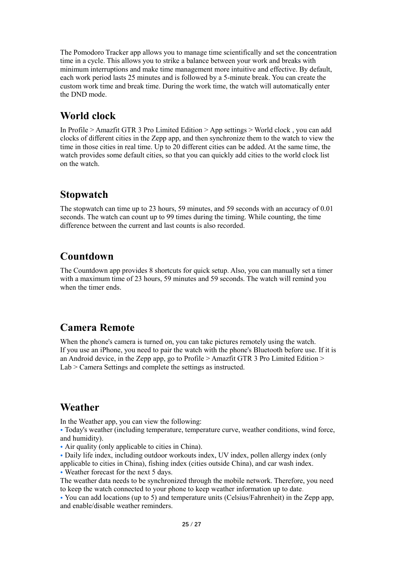The Pomodoro Tracker app allows you to manage time scientifically and set the concentration time in a cycle. This allows you to strike a balance between your work and breaks with minimum interruptions and make time management more intuitive and effective. By default, each work period lasts 25 minutes and is followed by a 5-minute break. You can create the custom work time and break time. During the work time, the watch will automatically enter the DND mode.

### **World clock**

In Profile > Amazfit GTR 3 Pro Limited Edition > App settings > World clock , you can add clocks of different cities in the Zepp app, and then synchronize them to the watch to view the time in those cities in real time. Up to 20 different cities can be added. At the same time, the watch provides some default cities, so that you can quickly add cities to the world clock list on the watch.

### **Stopwatch**

The stopwatch can time up to 23 hours, 59 minutes, and 59 seconds with an accuracy of 0.01 seconds. The watch can count up to 99 times during the timing. While counting, the time difference between the current and last counts is also recorded.

### **Countdown**

The Countdown app provides 8 shortcuts for quick setup. Also, you can manually set a timer with a maximum time of 23 hours, 59 minutes and 59 seconds. The watch will remind you when the timer ends.

### **Camera Remote**

When the phone's camera is turned on, you can take pictures remotely using the watch. If you use an iPhone, you need to pair the watch with the phone's Bluetooth before use. If it is an Android device, in the Zepp app, go to Profile > Amazfit GTR 3 Pro Limited Edition > Lab > Camera Settings and complete the settings as instructed.

### **Weather**

In the Weather app, you can view the following:

• Today's weather (including temperature, temperature curve, weather conditions, wind force, and humidity).

• Air quality (only applicable to cities in China).

• Daily life index, including outdoor workouts index, UV index, pollen allergy index (only applicable to cities in China), fishing index (cities outside China), and car wash index.

• Weather forecast for the next 5 days.

The weather data needs to be synchronized through the mobile network. Therefore, you need to keep the watch connected to your phone to keep weather information up to date.

• You can add locations (up to 5) and temperature units (Celsius/Fahrenheit) in the Zepp app, and enable/disable weather reminders.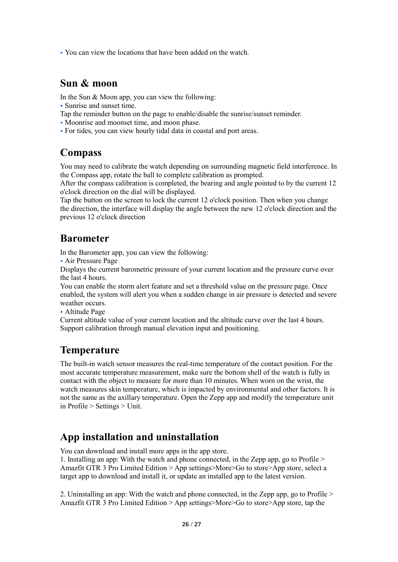• You can view the locations that have been added on the watch.

### **Sun & moon**

In the Sun & Moon app, you can view the following:

• Sunrise and sunset time.

- Tap the reminder button on the page to enable/disable the sunrise/sunset reminder.
- Moonrise and moonset time, and moon phase.
- For tides, you can view hourly tidal data in coastal and port areas.

### **Compass**

You may need to calibrate the watch depending on surrounding magnetic field interference. In the Compass app, rotate the ball to complete calibration as prompted.

After the compass calibration is completed, the bearing and angle pointed to by the current 12 o'clock direction on the dial will be displayed.

Tap the button on the screen to lock the current 12 o'clock position. Then when you change the direction, the interface will display the angle between the new 12 o'clock direction and the previous 12 o'clock direction

### **Barometer**

In the Barometer app, you can view the following:

• Air Pressure Page

Displays the current barometric pressure of your current location and the pressure curve over the last 4 hours.

You can enable the storm alert feature and set a threshold value on the pressure page. Once enabled, the system will alert you when a sudden change in air pressure is detected and severe weather occurs.

• Altitude Page

Current altitude value of your current location and the altitude curve over the last 4 hours. Support calibration through manual elevation input and positioning.

### **Temperature**

The built-in watch sensor measures the real-time temperature of the contact position. For the most accurate temperature measurement, make sure the bottom shell of the watch is fully in contact with the object to measure for more than 10 minutes. When worn on the wrist, the watch measures skin temperature, which is impacted by environmental and other factors. It is not the same as the axillary temperature. Open the Zepp app and modify the temperature unit in Profile > Settings > Unit.

### **App installation and uninstallation**

You can download and install more apps in the app store.

1. Installing an app: With the watch and phone connected, in the Zepp app, go to Profile > Amazfit GTR 3 Pro Limited Edition > App settings>More>Go to store>App store, select a target app to download and install it, or update an installed app to the latest version.

2. Uninstalling an app: With the watch and phone connected, in the Zepp app, go to Profile > Amazfit GTR 3 Pro Limited Edition > App settings>More>Go to store>App store, tap the